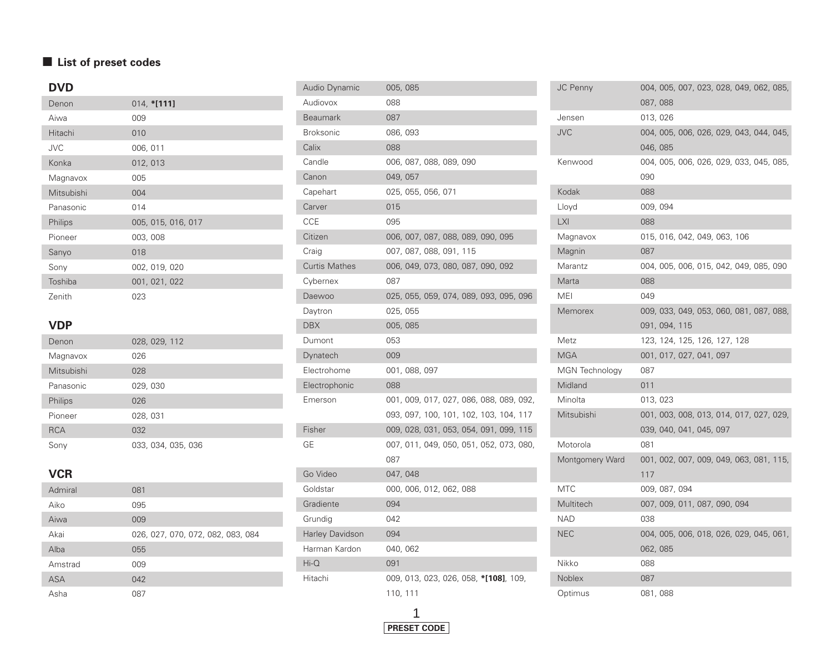### $\blacksquare$  List of preset codes

## **DVD**

| Denon      | $014, *[111]$      |
|------------|--------------------|
| Aiwa       | 009                |
| Hitachi    | 010                |
| <b>JVC</b> | 006, 011           |
| Konka      | 012, 013           |
| Magnavox   | 005                |
| Mitsubishi | 004                |
| Panasonic  | 014                |
| Philips    | 005, 015, 016, 017 |
| Pioneer    | 003, 008           |
| Sanyo      | 018                |
| Sony       | 002, 019, 020      |
| Toshiba    | 001, 021, 022      |
| Zenith     | 023                |

### **VDP**

| Denon      | 028, 029, 112      |
|------------|--------------------|
| Magnavox   | 026                |
| Mitsubishi | 028                |
| Panasonic  | 029, 030           |
| Philips    | 026                |
| Pioneer    | 028, 031           |
| <b>RCA</b> | 032                |
| Sonv       | 033, 034, 035, 036 |

## **VCR**

| Admiral | 081                               |
|---------|-----------------------------------|
| Aiko    | 095                               |
| Aiwa    | 009                               |
| Akai    | 026, 027, 070, 072, 082, 083, 084 |
| Alba    | 055                               |
| Amstrad | 009                               |
| ASA     | 042                               |
| Asha    | 087                               |

| Audio Dynamic          | 005,085                                 |
|------------------------|-----------------------------------------|
| Audiovox               | 088                                     |
| <b>Beaumark</b>        | 087                                     |
| <b>Broksonic</b>       | 086, 093                                |
| Calix                  | 088                                     |
| Candle                 | 006, 087, 088, 089, 090                 |
| Canon                  | 049, 057                                |
| Capehart               | 025, 055, 056, 071                      |
| Carver                 | 015                                     |
| CCE                    | 095                                     |
| Citizen                | 006, 007, 087, 088, 089, 090, 095       |
| Craig                  | 007, 087, 088, 091, 115                 |
| <b>Curtis Mathes</b>   | 006, 049, 073, 080, 087, 090, 092       |
| Cybernex               | 087                                     |
| Daewoo                 | 025, 055, 059, 074, 089, 093, 095, 096  |
| Daytron                | 025, 055                                |
| <b>DBX</b>             | 005, 085                                |
| Dumont                 | 053                                     |
| Dynatech               | 009                                     |
| Electrohome            | 001, 088, 097                           |
| Electrophonic          | 088                                     |
| Emerson                | 001, 009, 017, 027, 086, 088, 089, 092, |
|                        | 093, 097, 100, 101, 102, 103, 104, 117  |
| Fisher                 | 009, 028, 031, 053, 054, 091, 099, 115  |
| GЕ                     | 007, 011, 049, 050, 051, 052, 073, 080, |
|                        | 087                                     |
| Go Video               | 047, 048                                |
| Goldstar               | 000, 006, 012, 062, 088                 |
| Gradiente              | 094                                     |
| Grundig                | 042                                     |
| <b>Harley Davidson</b> | 094                                     |
| Harman Kardon          | 040, 062                                |
| $Hi-O$                 | 091                                     |
| Hitachi                | 009, 013, 023, 026, 058, *[108], 109,   |
|                        | 110, 111                                |



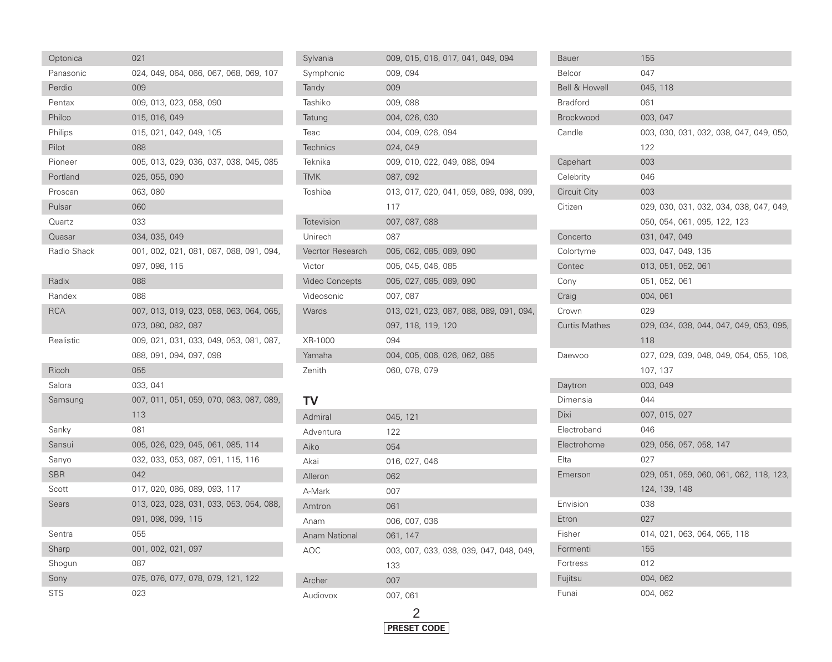| Optonica     | 021                                     |
|--------------|-----------------------------------------|
| Panasonic    | 024, 049, 064, 066, 067, 068, 069, 107  |
| Perdio       | 009                                     |
| Pentax       | 009, 013, 023, 058, 090                 |
| Philco       | 015, 016, 049                           |
| Philips      | 015, 021, 042, 049, 105                 |
| Pilot        | 088                                     |
| Pioneer      | 005, 013, 029, 036, 037, 038, 045, 085  |
| Portland     | 025, 055, 090                           |
| Proscan      | 063, 080                                |
| Pulsar       | 060                                     |
| Quartz       | 033                                     |
| Quasar       | 034, 035, 049                           |
| Radio Shack  | 001, 002, 021, 081, 087, 088, 091, 094, |
|              | 097, 098, 115                           |
| Radix        | 088                                     |
| Randex       | 088                                     |
| <b>RCA</b>   | 007, 013, 019, 023, 058, 063, 064, 065, |
|              | 073, 080, 082, 087                      |
| Realistic    | 009, 021, 031, 033, 049, 053, 081, 087, |
|              | 088, 091, 094, 097, 098                 |
| Ricoh        | 055                                     |
| Salora       | 033, 041                                |
| Samsung      | 007, 011, 051, 059, 070, 083, 087, 089, |
|              | 113                                     |
| Sanky        | 081                                     |
| Sansui       | 005, 026, 029, 045, 061, 085, 114       |
| Sanyo        | 032, 033, 053, 087, 091, 115, 116       |
| SBR          | 042                                     |
| Scott        | 017, 020, 086, 089, 093, 117            |
| <b>Sears</b> | 013, 023, 028, 031, 033, 053, 054, 088, |
|              | 091, 098, 099, 115                      |
| Sentra       | 055                                     |
| Sharp        | 001, 002, 021, 097                      |
| Shogun       | 087                                     |
| Sony         | 075, 076, 077, 078, 079, 121, 122       |
| <b>STS</b>   | 023                                     |

| Sylvania              | 009, 015, 016, 017, 041, 049, 094       |
|-----------------------|-----------------------------------------|
| Symphonic             | 009, 094                                |
| Tandy                 | 009                                     |
| Tashiko               | 009, 088                                |
| Tatung                | 004, 026, 030                           |
| Teac                  | 004, 009, 026, 094                      |
| <b>Technics</b>       | 024, 049                                |
| Teknika               | 009, 010, 022, 049, 088, 094            |
| <b>TMK</b>            | 087, 092                                |
| Toshiba               | 013, 017, 020, 041, 059, 089, 098, 099, |
|                       | 117                                     |
| Totevision            | 007, 087, 088                           |
| Unirech               | 087                                     |
| Vecrtor Research      | 005, 062, 085, 089, 090                 |
| Victor                | 005, 045, 046, 085                      |
| <b>Video Concepts</b> | 005, 027, 085, 089, 090                 |
| Videosonic            | 007, 087                                |
| Wards                 | 013, 021, 023, 087, 088, 089, 091, 094, |
|                       | 097, 118, 119, 120                      |
| XR-1000               | 094                                     |
| Yamaha                | 004, 005, 006, 026, 062, 085            |
| Zenith                | 060, 078, 079                           |

#### **TV**

T

| Admiral       | 045, 121                                |
|---------------|-----------------------------------------|
| Adventura     | 122                                     |
| Aiko          | 054                                     |
| Akai          | 016, 027, 046                           |
| Alleron       | 062                                     |
| A-Mark        | 007                                     |
| Amtron        | 061                                     |
| Anam          | 006, 007, 036                           |
| Anam National | 061, 147                                |
| AOC.          | 003, 007, 033, 038, 039, 047, 048, 049, |
|               | 133                                     |
| Archer        | 007                                     |
| Audiovox      | 007, 061                                |

| <b>Bauer</b>             | 155                                     |
|--------------------------|-----------------------------------------|
| Belcor                   | 047                                     |
| <b>Bell &amp; Howell</b> | 045, 118                                |
| <b>Bradford</b>          | 061                                     |
| <b>Brockwood</b>         | 003, 047                                |
| Candle                   | 003, 030, 031, 032, 038, 047, 049, 050, |
|                          | 122                                     |
| Capehart                 | 003                                     |
| Celebrity                | 046                                     |
| <b>Circuit City</b>      | 003                                     |
| Citizen                  | 029, 030, 031, 032, 034, 038, 047, 049, |
|                          | 050, 054, 061, 095, 122, 123            |
| Concerto                 | 031, 047, 049                           |
| Colortyme                | 003, 047, 049, 135                      |
| Contec                   | 013, 051, 052, 061                      |
| Cony                     | 051, 052, 061                           |
| Craig                    | 004, 061                                |
| Crown                    | 029                                     |
| <b>Curtis Mathes</b>     | 029, 034, 038, 044, 047, 049, 053, 095, |
|                          | 118                                     |
| Daewoo                   | 027, 029, 039, 048, 049, 054, 055, 106, |
|                          | 107, 137                                |
| Daytron                  | 003, 049                                |
| Dimensia                 | 044                                     |
| Dixi                     | 007, 015, 027                           |
| Electroband              | 046                                     |
| Electrohome              | 029, 056, 057, 058, 147                 |
| Elta                     | 027                                     |
| Emerson                  | 029, 051, 059, 060, 061, 062, 118, 123, |
|                          | 124, 139, 148                           |
| Envision                 | 038                                     |
| Etron                    | 027                                     |
| Fisher                   | 014, 021, 063, 064, 065, 118            |
| Formenti                 | 155                                     |
| Fortress                 | 012                                     |
| Fujitsu                  | 004, 062                                |
| Funai                    | 004, 062                                |

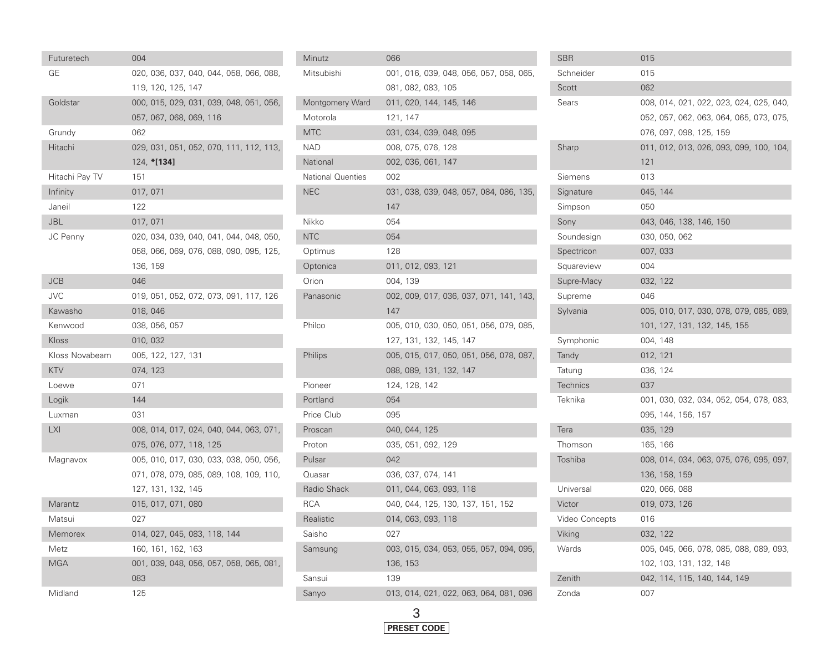| Futuretech     | 004      |                              |  |                                         |  |
|----------------|----------|------------------------------|--|-----------------------------------------|--|
| GЕ             |          |                              |  | 020, 036, 037, 040, 044, 058, 066, 088, |  |
|                |          | 119, 120, 125, 147           |  |                                         |  |
| Goldstar       |          |                              |  | 000, 015, 029, 031, 039, 048, 051, 056, |  |
|                |          | 057, 067, 068, 069, 116      |  |                                         |  |
| Grundy         | 062      |                              |  |                                         |  |
| Hitachi        |          |                              |  | 029, 031, 051, 052, 070, 111, 112, 113, |  |
|                |          | 124, *[134]                  |  |                                         |  |
| Hitachi Pay TV | 151      |                              |  |                                         |  |
| Infinity       | 017, 071 |                              |  |                                         |  |
| Janeil         | 122      |                              |  |                                         |  |
| <b>JBL</b>     | 017, 071 |                              |  |                                         |  |
| JC Penny       |          |                              |  | 020, 034, 039, 040, 041, 044, 048, 050, |  |
|                |          |                              |  | 058, 066, 069, 076, 088, 090, 095, 125, |  |
|                | 136, 159 |                              |  |                                         |  |
| JCB            | 046      |                              |  |                                         |  |
| JVC            |          |                              |  | 019, 051, 052, 072, 073, 091, 117, 126  |  |
| Kawasho        | 018, 046 |                              |  |                                         |  |
| Kenwood        |          | 038, 056, 057                |  |                                         |  |
| Kloss          | 010, 032 |                              |  |                                         |  |
| Kloss Novabeam |          | 005, 122, 127, 131           |  |                                         |  |
| <b>KTV</b>     | 074, 123 |                              |  |                                         |  |
| Loewe          | 071      |                              |  |                                         |  |
| Logik          | 144      |                              |  |                                         |  |
| Luxman         | 031      |                              |  |                                         |  |
| <b>LXI</b>     |          |                              |  | 008, 014, 017, 024, 040, 044, 063, 071, |  |
|                |          | 075, 076, 077, 118, 125      |  |                                         |  |
| Magnavox       |          |                              |  | 005, 010, 017, 030, 033, 038, 050, 056, |  |
|                |          |                              |  | 071, 078, 079, 085, 089, 108, 109, 110, |  |
|                |          | 127, 131, 132, 145           |  |                                         |  |
| Marantz        |          | 015, 017, 071, 080           |  |                                         |  |
| Matsui         | 027      |                              |  |                                         |  |
| Memorex        |          | 014, 027, 045, 083, 118, 144 |  |                                         |  |
| Metz           |          | 160, 161, 162, 163           |  |                                         |  |
| <b>MGA</b>     |          |                              |  | 001, 039, 048, 056, 057, 058, 065, 081, |  |
|                | 083      |                              |  |                                         |  |
| Midland        | 125      |                              |  |                                         |  |

| Minutz                   | 066                                     |
|--------------------------|-----------------------------------------|
| Mitsubishi               | 001, 016, 039, 048, 056, 057, 058, 065, |
|                          | 081, 082, 083, 105                      |
| Montgomery Ward          | 011, 020, 144, 145, 146                 |
| Motorola                 | 121, 147                                |
| <b>MTC</b>               | 031, 034, 039, 048, 095                 |
| <b>NAD</b>               | 008, 075, 076, 128                      |
| National                 | 002, 036, 061, 147                      |
| <b>National Quenties</b> | 002                                     |
| <b>NEC</b>               | 031, 038, 039, 048, 057, 084, 086, 135, |
|                          | 147                                     |
| Nikko                    | 054                                     |
| <b>NTC</b>               | 054                                     |
| Optimus                  | 128                                     |
| Optonica                 | 011, 012, 093, 121                      |
| Orion                    | 004, 139                                |
| Panasonic                | 002, 009, 017, 036, 037, 071, 141, 143, |
|                          | 147                                     |
| Philco                   | 005, 010, 030, 050, 051, 056, 079, 085, |
|                          | 127, 131, 132, 145, 147                 |
| Philips                  | 005, 015, 017, 050, 051, 056, 078, 087, |
|                          | 088, 089, 131, 132, 147                 |
| Pioneer                  | 124, 128, 142                           |
| Portland                 | 054                                     |
| Price Club               | 095                                     |
| Proscan                  | 040, 044, 125                           |
| Proton                   | 035, 051, 092, 129                      |
| Pulsar                   | 042                                     |
| Quasar                   | 036, 037, 074, 141                      |
| Radio Shack              | 011, 044, 063, 093, 118                 |
| <b>RCA</b>               | 040, 044, 125, 130, 137, 151, 152       |
| Realistic                | 014, 063, 093, 118                      |
| Saisho                   | 027                                     |
| Samsung                  | 003, 015, 034, 053, 055, 057, 094, 095, |
|                          | 136, 153                                |
| Sansui                   | 139                                     |
| Sanyo                    | 013, 014, 021, 022, 063, 064, 081, 096  |
|                          |                                         |

| <b>SBR</b>      | 015      |                                         |  |  |                                         |
|-----------------|----------|-----------------------------------------|--|--|-----------------------------------------|
| Schneider       | 015      |                                         |  |  |                                         |
| Scott           | 062      |                                         |  |  |                                         |
| Sears           |          | 008, 014, 021, 022, 023, 024, 025, 040, |  |  |                                         |
|                 |          |                                         |  |  | 052, 057, 062, 063, 064, 065, 073, 075, |
|                 |          | 076, 097, 098, 125, 159                 |  |  |                                         |
| Sharp           |          |                                         |  |  | 011, 012, 013, 026, 093, 099, 100, 104, |
|                 | 121      |                                         |  |  |                                         |
| Siemens         | 013      |                                         |  |  |                                         |
| Signature       | 045, 144 |                                         |  |  |                                         |
| Simpson         | 050      |                                         |  |  |                                         |
| Sony            |          | 043, 046, 138, 146, 150                 |  |  |                                         |
| Soundesign      |          | 030, 050, 062                           |  |  |                                         |
| Spectricon      | 007, 033 |                                         |  |  |                                         |
| Squareview      | 004      |                                         |  |  |                                         |
| Supre-Macy      | 032, 122 |                                         |  |  |                                         |
| Supreme         | 046      |                                         |  |  |                                         |
| Sylvania        |          | 005, 010, 017, 030, 078, 079, 085, 089, |  |  |                                         |
|                 |          | 101, 127, 131, 132, 145, 155            |  |  |                                         |
| Symphonic       | 004, 148 |                                         |  |  |                                         |
| Tandy           | 012, 121 |                                         |  |  |                                         |
| Tatung          | 036, 124 |                                         |  |  |                                         |
| <b>Technics</b> | 037      |                                         |  |  |                                         |
| Teknika         |          | 001, 030, 032, 034, 052, 054, 078, 083, |  |  |                                         |
|                 |          | 095, 144, 156, 157                      |  |  |                                         |
| Tera            | 035, 129 |                                         |  |  |                                         |
| Thomson         | 165, 166 |                                         |  |  |                                         |
| Toshiba         |          | 008, 014, 034, 063, 075, 076, 095, 097, |  |  |                                         |
|                 |          | 136, 158, 159                           |  |  |                                         |
| Universal       |          | 020, 066, 088                           |  |  |                                         |
| Victor          |          | 019, 073, 126                           |  |  |                                         |
| Video Concepts  | 016      |                                         |  |  |                                         |
| Viking          | 032, 122 |                                         |  |  |                                         |
| Wards           |          |                                         |  |  | 005, 045, 066, 078, 085, 088, 089, 093, |
|                 |          | 102, 103, 131, 132, 148                 |  |  |                                         |
| Zenith          |          | 042, 114, 115, 140, 144, 149            |  |  |                                         |
| Zonda           | 007      |                                         |  |  |                                         |

F

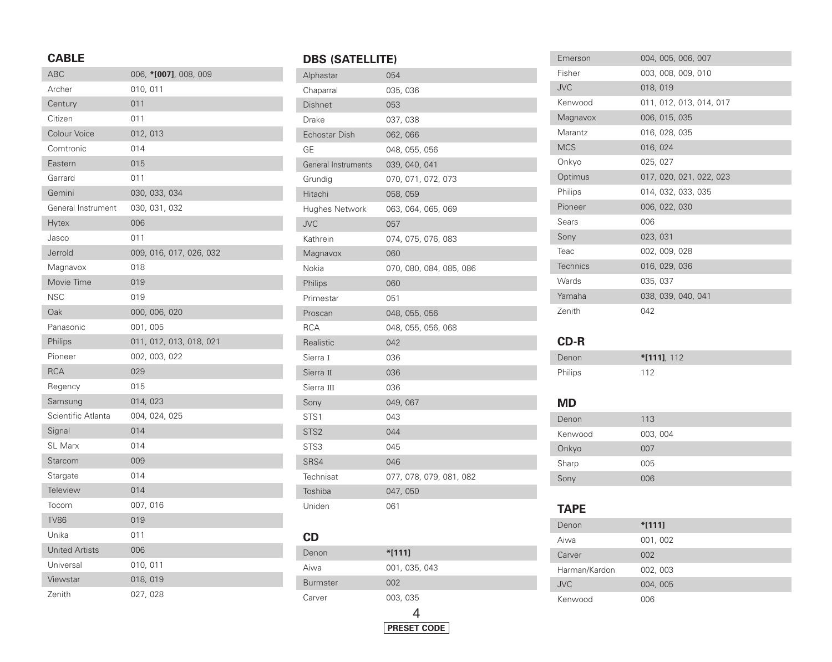### **CABLE**

| <b>ABC</b>            | 006, *[007], 008, 009   |
|-----------------------|-------------------------|
| Archer                | 010, 011                |
| Century               | 011                     |
| Citizen               | 011                     |
| Colour Voice          | 012, 013                |
| Comtronic             | 014                     |
| Eastern               | 015                     |
| Garrard               | 011                     |
| Gemini                | 030, 033, 034           |
| General Instrument    | 030, 031, 032           |
| <b>Hytex</b>          | 006                     |
| Jasco                 | 011                     |
| Jerrold               | 009, 016, 017, 026, 032 |
| Magnavox              | 018                     |
| Movie Time            | 019                     |
| NSC                   | 019                     |
| Oak                   | 000, 006, 020           |
| Panasonic             | 001, 005                |
| Philips               | 011, 012, 013, 018, 021 |
| Pioneer               | 002, 003, 022           |
| <b>RCA</b>            | 029                     |
| Regency               | 015                     |
| Samsung               | 014, 023                |
| Scientific Atlanta    | 004, 024, 025           |
| Signal                | 014                     |
| <b>SL Marx</b>        | 014                     |
| Starcom               | 009                     |
| Stargate              | 014                     |
| <b>Teleview</b>       | 014                     |
| Tocom                 | 007, 016                |
| <b>TV86</b>           | 019                     |
| Unika                 | 011                     |
| <b>United Artists</b> | 006                     |
| Universal             | 010, 011                |
| Viewstar              | 018, 019                |
| Zenith                | 027, 028                |

# **DBS (SATELLITE)**

| Alphastar            | 054                     |
|----------------------|-------------------------|
| Chaparral            | 035, 036                |
| <b>Dishnet</b>       | 053                     |
| Drake                | 037,038                 |
| <b>Echostar Dish</b> | 062,066                 |
| GE                   | 048, 055, 056           |
| General Instruments  | 039, 040, 041           |
| Grundig              | 070, 071, 072, 073      |
| Hitachi              | 058, 059                |
| Hughes Network       | 063, 064, 065, 069      |
| <b>JVC</b>           | 057                     |
| Kathrein             | 074, 075, 076, 083      |
| Magnavox             | 060                     |
| Nokia                | 070, 080, 084, 085, 086 |
| Philips              | 060                     |
| Primestar            | 051                     |
| Proscan              | 048, 055, 056           |
| <b>RCA</b>           | 048, 055, 056, 068      |
| Realistic            | 042                     |
| Sierra I             | 036                     |
| Sierra II            | 036                     |
| Sierra III           | 036                     |
| Sony                 | 049, 067                |
| STS <sub>1</sub>     | 043                     |
| STS <sub>2</sub>     | 044                     |
| STS3                 | 045                     |
| SRS4                 | 046                     |
|                      |                         |
| Technisat            | 077, 078, 079, 081, 082 |
| Toshiba              | 047,050                 |

### **CD**

ı

| Denon           | $*1111$            |  |
|-----------------|--------------------|--|
| Aiwa            | 001, 035, 043      |  |
| <b>Burmster</b> | 002                |  |
| Carver          | 003, 035           |  |
|                 |                    |  |
|                 | <b>PRESET CODE</b> |  |

| Emerson         | 004, 005, 006, 007      |
|-----------------|-------------------------|
| Fisher          | 003, 008, 009, 010      |
| <b>JVC</b>      | 018, 019                |
| Kenwood         | 011, 012, 013, 014, 017 |
| Magnavox        | 006, 015, 035           |
| Marantz         | 016, 028, 035           |
| <b>MCS</b>      | 016, 024                |
| Onkyo           | 025, 027                |
| Optimus         | 017, 020, 021, 022, 023 |
| Philips         | 014, 032, 033, 035      |
| Pioneer         | 006, 022, 030           |
| Sears           | 006                     |
| Sony            | 023, 031                |
| Teac            | 002, 009, 028           |
| <b>Technics</b> | 016, 029, 036           |
| Wards           | 035, 037                |
| Yamaha          | 038, 039, 040, 041      |
| Zenith          | 042                     |

## **CD-R**

| Denon   | $*$ [111], 112 |
|---------|----------------|
| Philips | 112            |

## **MD**

| שועו    |          |
|---------|----------|
| Denon   | 113      |
| Kenwood | 003, 004 |
| Onkyo   | 007      |
| Sharp   | 005      |
| Sony    | 006      |
|         |          |

### **TAPE**

I

I

| Denon         | $*$ [111] |
|---------------|-----------|
| Aiwa          | 001, 002  |
| Carver        | 002       |
| Harman/Kardon | 002, 003  |
| <b>JVC</b>    | 004, 005  |
| Kenwood       | 006       |